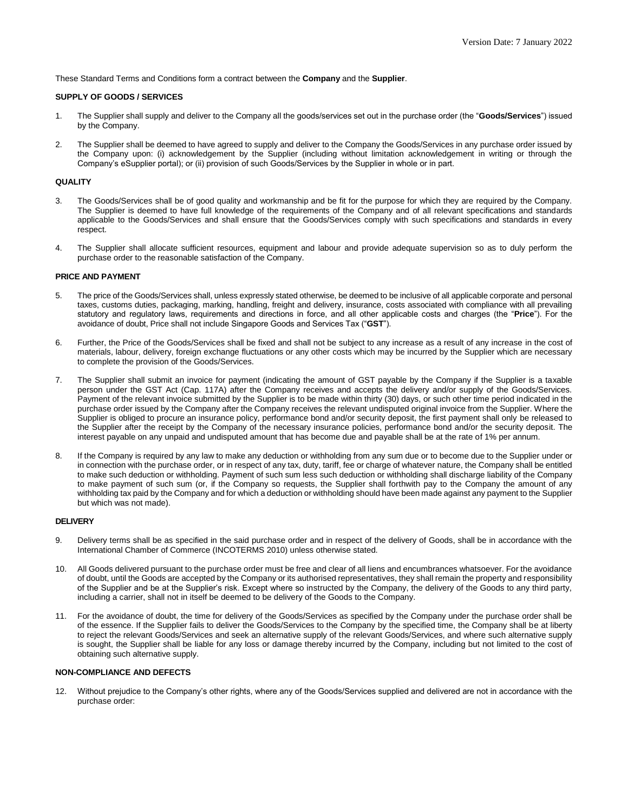These Standard Terms and Conditions form a contract between the **Company** and the **Supplier**.

## **SUPPLY OF GOODS / SERVICES**

- 1. The Supplier shall supply and deliver to the Company all the goods/services set out in the purchase order (the "**Goods/Services**") issued by the Company.
- 2. The Supplier shall be deemed to have agreed to supply and deliver to the Company the Goods/Services in any purchase order issued by the Company upon: (i) acknowledgement by the Supplier (including without limitation acknowledgement in writing or through the Company's eSupplier portal); or (ii) provision of such Goods/Services by the Supplier in whole or in part.

### **QUALITY**

- 3. The Goods/Services shall be of good quality and workmanship and be fit for the purpose for which they are required by the Company. The Supplier is deemed to have full knowledge of the requirements of the Company and of all relevant specifications and standards applicable to the Goods/Services and shall ensure that the Goods/Services comply with such specifications and standards in every respect.
- 4. The Supplier shall allocate sufficient resources, equipment and labour and provide adequate supervision so as to duly perform the purchase order to the reasonable satisfaction of the Company.

### **PRICE AND PAYMENT**

- 5. The price of the Goods/Services shall, unless expressly stated otherwise, be deemed to be inclusive of all applicable corporate and personal taxes, customs duties, packaging, marking, handling, freight and delivery, insurance, costs associated with compliance with all prevailing statutory and regulatory laws, requirements and directions in force, and all other applicable costs and charges (the "**Price**"). For the avoidance of doubt, Price shall not include Singapore Goods and Services Tax ("**GST**").
- 6. Further, the Price of the Goods/Services shall be fixed and shall not be subject to any increase as a result of any increase in the cost of materials, labour, delivery, foreign exchange fluctuations or any other costs which may be incurred by the Supplier which are necessary to complete the provision of the Goods/Services.
- 7. The Supplier shall submit an invoice for payment (indicating the amount of GST payable by the Company if the Supplier is a taxable person under the GST Act (Cap. 117A) after the Company receives and accepts the delivery and/or supply of the Goods/Services. Payment of the relevant invoice submitted by the Supplier is to be made within thirty (30) days, or such other time period indicated in the purchase order issued by the Company after the Company receives the relevant undisputed original invoice from the Supplier. Where the Supplier is obliged to procure an insurance policy, performance bond and/or security deposit, the first payment shall only be released to the Supplier after the receipt by the Company of the necessary insurance policies, performance bond and/or the security deposit. The interest payable on any unpaid and undisputed amount that has become due and payable shall be at the rate of 1% per annum.
- 8. If the Company is required by any law to make any deduction or withholding from any sum due or to become due to the Supplier under or in connection with the purchase order, or in respect of any tax, duty, tariff, fee or charge of whatever nature, the Company shall be entitled to make such deduction or withholding. Payment of such sum less such deduction or withholding shall discharge liability of the Company to make payment of such sum (or, if the Company so requests, the Supplier shall forthwith pay to the Company the amount of any withholding tax paid by the Company and for which a deduction or withholding should have been made against any payment to the Supplier but which was not made).

#### **DELIVERY**

- 9. Delivery terms shall be as specified in the said purchase order and in respect of the delivery of Goods, shall be in accordance with the International Chamber of Commerce (INCOTERMS 2010) unless otherwise stated.
- 10. All Goods delivered pursuant to the purchase order must be free and clear of all liens and encumbrances whatsoever. For the avoidance of doubt, until the Goods are accepted by the Company or its authorised representatives, they shall remain the property and responsibility of the Supplier and be at the Supplier's risk. Except where so instructed by the Company, the delivery of the Goods to any third party, including a carrier, shall not in itself be deemed to be delivery of the Goods to the Company.
- 11. For the avoidance of doubt, the time for delivery of the Goods/Services as specified by the Company under the purchase order shall be of the essence. If the Supplier fails to deliver the Goods/Services to the Company by the specified time, the Company shall be at liberty to reject the relevant Goods/Services and seek an alternative supply of the relevant Goods/Services, and where such alternative supply is sought, the Supplier shall be liable for any loss or damage thereby incurred by the Company, including but not limited to the cost of obtaining such alternative supply.

# **NON-COMPLIANCE AND DEFECTS**

12. Without prejudice to the Company's other rights, where any of the Goods/Services supplied and delivered are not in accordance with the purchase order: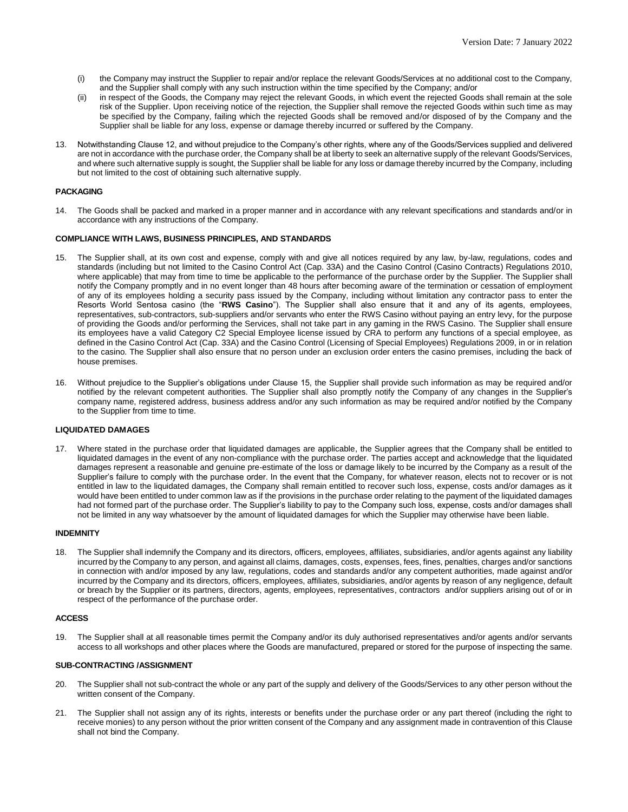- (i) the Company may instruct the Supplier to repair and/or replace the relevant Goods/Services at no additional cost to the Company, and the Supplier shall comply with any such instruction within the time specified by the Company; and/or
- (ii) in respect of the Goods, the Company may reject the relevant Goods, in which event the rejected Goods shall remain at the sole risk of the Supplier. Upon receiving notice of the rejection, the Supplier shall remove the rejected Goods within such time as may be specified by the Company, failing which the rejected Goods shall be removed and/or disposed of by the Company and the Supplier shall be liable for any loss, expense or damage thereby incurred or suffered by the Company.
- 13. Notwithstanding Clause 12, and without prejudice to the Company's other rights, where any of the Goods/Services supplied and delivered are not in accordance with the purchase order, the Company shall be at liberty to seek an alternative supply of the relevant Goods/Services, and where such alternative supply is sought, the Supplier shall be liable for any loss or damage thereby incurred by the Company, including but not limited to the cost of obtaining such alternative supply.

# **PACKAGING**

14. The Goods shall be packed and marked in a proper manner and in accordance with any relevant specifications and standards and/or in accordance with any instructions of the Company.

## **COMPLIANCE WITH LAWS, BUSINESS PRINCIPLES, AND STANDARDS**

- 15. The Supplier shall, at its own cost and expense, comply with and give all notices required by any law, by-law, regulations, codes and standards (including but not limited to the Casino Control Act (Cap. 33A) and the Casino Control (Casino Contracts) Regulations 2010, where applicable) that may from time to time be applicable to the performance of the purchase order by the Supplier. The Supplier shall notify the Company promptly and in no event longer than 48 hours after becoming aware of the termination or cessation of employment of any of its employees holding a security pass issued by the Company, including without limitation any contractor pass to enter the Resorts World Sentosa casino (the "**RWS Casino**"). The Supplier shall also ensure that it and any of its agents, employees, representatives, sub-contractors, sub-suppliers and/or servants who enter the RWS Casino without paying an entry levy, for the purpose of providing the Goods and/or performing the Services, shall not take part in any gaming in the RWS Casino. The Supplier shall ensure its employees have a valid Category C2 Special Employee license issued by CRA to perform any functions of a special employee, as defined in the Casino Control Act (Cap. 33A) and the Casino Control (Licensing of Special Employees) Regulations 2009, in or in relation to the casino. The Supplier shall also ensure that no person under an exclusion order enters the casino premises, including the back of house premises.
- 16. Without prejudice to the Supplier's obligations under Clause 15, the Supplier shall provide such information as may be required and/or notified by the relevant competent authorities. The Supplier shall also promptly notify the Company of any changes in the Supplier's company name, registered address, business address and/or any such information as may be required and/or notified by the Company to the Supplier from time to time.

#### **LIQUIDATED DAMAGES**

17. Where stated in the purchase order that liquidated damages are applicable, the Supplier agrees that the Company shall be entitled to liquidated damages in the event of any non-compliance with the purchase order. The parties accept and acknowledge that the liquidated damages represent a reasonable and genuine pre-estimate of the loss or damage likely to be incurred by the Company as a result of the Supplier's failure to comply with the purchase order. In the event that the Company, for whatever reason, elects not to recover or is not entitled in law to the liquidated damages, the Company shall remain entitled to recover such loss, expense, costs and/or damages as it would have been entitled to under common law as if the provisions in the purchase order relating to the payment of the liquidated damages had not formed part of the purchase order. The Supplier's liability to pay to the Company such loss, expense, costs and/or damages shall not be limited in any way whatsoever by the amount of liquidated damages for which the Supplier may otherwise have been liable.

#### **INDEMNITY**

18. The Supplier shall indemnify the Company and its directors, officers, employees, affiliates, subsidiaries, and/or agents against any liability incurred by the Company to any person, and against all claims, damages, costs, expenses, fees, fines, penalties, charges and/or sanctions in connection with and/or imposed by any law, regulations, codes and standards and/or any competent authorities, made against and/or incurred by the Company and its directors, officers, employees, affiliates, subsidiaries, and/or agents by reason of any negligence, default or breach by the Supplier or its partners, directors, agents, employees, representatives, contractors and/or suppliers arising out of or in respect of the performance of the purchase order.

#### **ACCESS**

19. The Supplier shall at all reasonable times permit the Company and/or its duly authorised representatives and/or agents and/or servants access to all workshops and other places where the Goods are manufactured, prepared or stored for the purpose of inspecting the same.

#### **SUB-CONTRACTING /ASSIGNMENT**

- 20. The Supplier shall not sub-contract the whole or any part of the supply and delivery of the Goods/Services to any other person without the written consent of the Company.
- 21. The Supplier shall not assign any of its rights, interests or benefits under the purchase order or any part thereof (including the right to receive monies) to any person without the prior written consent of the Company and any assignment made in contravention of this Clause shall not bind the Company.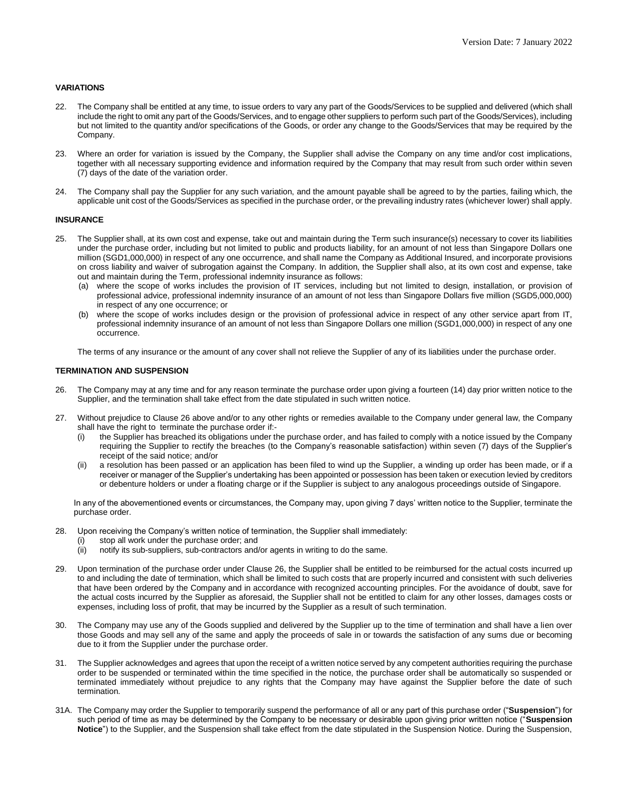# **VARIATIONS**

- 22. The Company shall be entitled at any time, to issue orders to vary any part of the Goods/Services to be supplied and delivered (which shall include the right to omit any part of the Goods/Services, and to engage other suppliers to perform such part of the Goods/Services), including but not limited to the quantity and/or specifications of the Goods, or order any change to the Goods/Services that may be required by the Company.
- 23. Where an order for variation is issued by the Company, the Supplier shall advise the Company on any time and/or cost implications, together with all necessary supporting evidence and information required by the Company that may result from such order within seven (7) days of the date of the variation order.
- 24. The Company shall pay the Supplier for any such variation, and the amount payable shall be agreed to by the parties, failing which, the applicable unit cost of the Goods/Services as specified in the purchase order, or the prevailing industry rates (whichever lower) shall apply.

#### **INSURANCE**

- 25. The Supplier shall, at its own cost and expense, take out and maintain during the Term such insurance(s) necessary to cover its liabilities under the purchase order, including but not limited to public and products liability, for an amount of not less than Singapore Dollars one million (SGD1,000,000) in respect of any one occurrence, and shall name the Company as Additional Insured, and incorporate provisions on cross liability and waiver of subrogation against the Company. In addition, the Supplier shall also, at its own cost and expense, take out and maintain during the Term, professional indemnity insurance as follows:
	- (a) where the scope of works includes the provision of IT services, including but not limited to design, installation, or provision of professional advice, professional indemnity insurance of an amount of not less than Singapore Dollars five million (SGD5,000,000) in respect of any one occurrence; or
	- (b) where the scope of works includes design or the provision of professional advice in respect of any other service apart from IT, professional indemnity insurance of an amount of not less than Singapore Dollars one million (SGD1,000,000) in respect of any one occurrence.

The terms of any insurance or the amount of any cover shall not relieve the Supplier of any of its liabilities under the purchase order.

## **TERMINATION AND SUSPENSION**

- 26. The Company may at any time and for any reason terminate the purchase order upon giving a fourteen (14) day prior written notice to the Supplier, and the termination shall take effect from the date stipulated in such written notice.
- 27. Without prejudice to Clause 26 above and/or to any other rights or remedies available to the Company under general law, the Company shall have the right to terminate the purchase order if:-
	- (i) the Supplier has breached its obligations under the purchase order, and has failed to comply with a notice issued by the Company requiring the Supplier to rectify the breaches (to the Company's reasonable satisfaction) within seven (7) days of the Supplier's receipt of the said notice; and/or
	- (ii) a resolution has been passed or an application has been filed to wind up the Supplier, a winding up order has been made, or if a receiver or manager of the Supplier's undertaking has been appointed or possession has been taken or execution levied by creditors or debenture holders or under a floating charge or if the Supplier is subject to any analogous proceedings outside of Singapore.

In any of the abovementioned events or circumstances, the Company may, upon giving 7 days' written notice to the Supplier, terminate the purchase order.

- 28. Upon receiving the Company's written notice of termination, the Supplier shall immediately:
	- (i) stop all work under the purchase order; and
	- (ii) notify its sub-suppliers, sub-contractors and/or agents in writing to do the same.
- 29. Upon termination of the purchase order under Clause 26, the Supplier shall be entitled to be reimbursed for the actual costs incurred up to and including the date of termination, which shall be limited to such costs that are properly incurred and consistent with such deliveries that have been ordered by the Company and in accordance with recognized accounting principles. For the avoidance of doubt, save for the actual costs incurred by the Supplier as aforesaid, the Supplier shall not be entitled to claim for any other losses, damages costs or expenses, including loss of profit, that may be incurred by the Supplier as a result of such termination.
- 30. The Company may use any of the Goods supplied and delivered by the Supplier up to the time of termination and shall have a lien over those Goods and may sell any of the same and apply the proceeds of sale in or towards the satisfaction of any sums due or becoming due to it from the Supplier under the purchase order.
- 31. The Supplier acknowledges and agrees that upon the receipt of a written notice served by any competent authorities requiring the purchase order to be suspended or terminated within the time specified in the notice, the purchase order shall be automatically so suspended or terminated immediately without prejudice to any rights that the Company may have against the Supplier before the date of such termination.
- 31A. The Company may order the Supplier to temporarily suspend the performance of all or any part of this purchase order ("**Suspension**") for such period of time as may be determined by the Company to be necessary or desirable upon giving prior written notice ("**Suspension Notice**") to the Supplier, and the Suspension shall take effect from the date stipulated in the Suspension Notice. During the Suspension,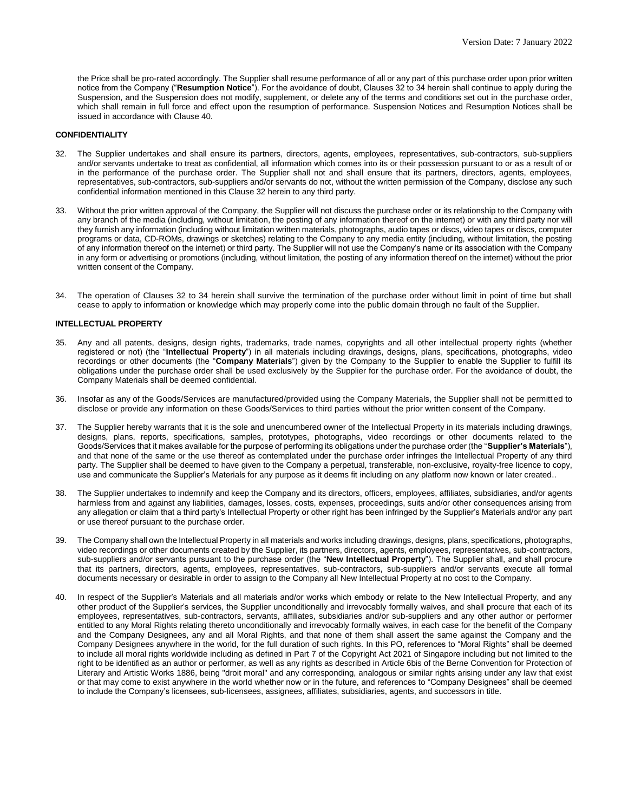the Price shall be pro-rated accordingly. The Supplier shall resume performance of all or any part of this purchase order upon prior written notice from the Company ("**Resumption Notice**"). For the avoidance of doubt, Clauses 32 to 34 herein shall continue to apply during the Suspension, and the Suspension does not modify, supplement, or delete any of the terms and conditions set out in the purchase order, which shall remain in full force and effect upon the resumption of performance. Suspension Notices and Resumption Notices shall be issued in accordance with Clause 40.

## **CONFIDENTIALITY**

- 32. The Supplier undertakes and shall ensure its partners, directors, agents, employees, representatives, sub-contractors, sub-suppliers and/or servants undertake to treat as confidential, all information which comes into its or their possession pursuant to or as a result of or in the performance of the purchase order. The Supplier shall not and shall ensure that its partners, directors, agents, employees, representatives, sub-contractors, sub-suppliers and/or servants do not, without the written permission of the Company, disclose any such confidential information mentioned in this Clause 32 herein to any third party.
- 33. Without the prior written approval of the Company, the Supplier will not discuss the purchase order or its relationship to the Company with any branch of the media (including, without limitation, the posting of any information thereof on the internet) or with any third party nor will they furnish any information (including without limitation written materials, photographs, audio tapes or discs, video tapes or discs, computer programs or data, CD-ROMs, drawings or sketches) relating to the Company to any media entity (including, without limitation, the posting of any information thereof on the internet) or third party. The Supplier will not use the Company's name or its association with the Company in any form or advertising or promotions (including, without limitation, the posting of any information thereof on the internet) without the prior written consent of the Company.
- 34. The operation of Clauses 32 to 34 herein shall survive the termination of the purchase order without limit in point of time but shall cease to apply to information or knowledge which may properly come into the public domain through no fault of the Supplier.

#### **INTELLECTUAL PROPERTY**

- 35. Any and all patents, designs, design rights, trademarks, trade names, copyrights and all other intellectual property rights (whether registered or not) (the "**Intellectual Property**") in all materials including drawings, designs, plans, specifications, photographs, video recordings or other documents (the "**Company Materials**") given by the Company to the Supplier to enable the Supplier to fulfill its obligations under the purchase order shall be used exclusively by the Supplier for the purchase order. For the avoidance of doubt, the Company Materials shall be deemed confidential.
- 36. Insofar as any of the Goods/Services are manufactured/provided using the Company Materials, the Supplier shall not be permitted to disclose or provide any information on these Goods/Services to third parties without the prior written consent of the Company.
- 37. The Supplier hereby warrants that it is the sole and unencumbered owner of the Intellectual Property in its materials including drawings, designs, plans, reports, specifications, samples, prototypes, photographs, video recordings or other documents related to the Goods/Services that it makes available for the purpose of performing its obligations under the purchase order (the "**Supplier's Materials**"), and that none of the same or the use thereof as contemplated under the purchase order infringes the Intellectual Property of any third party. The Supplier shall be deemed to have given to the Company a perpetual, transferable, non-exclusive, royalty-free licence to copy, use and communicate the Supplier's Materials for any purpose as it deems fit including on any platform now known or later created..
- 38. The Supplier undertakes to indemnify and keep the Company and its directors, officers, employees, affiliates, subsidiaries, and/or agents harmless from and against any liabilities, damages, losses, costs, expenses, proceedings, suits and/or other consequences arising from any allegation or claim that a third party's Intellectual Property or other right has been infringed by the Supplier's Materials and/or any part or use thereof pursuant to the purchase order.
- 39. The Company shall own the Intellectual Property in all materials and works including drawings, designs, plans, specifications, photographs, video recordings or other documents created by the Supplier, its partners, directors, agents, employees, representatives, sub-contractors, sub-suppliers and/or servants pursuant to the purchase order (the "**New Intellectual Property**"). The Supplier shall, and shall procure that its partners, directors, agents, employees, representatives, sub-contractors, sub-suppliers and/or servants execute all formal documents necessary or desirable in order to assign to the Company all New Intellectual Property at no cost to the Company.
- 40. In respect of the Supplier's Materials and all materials and/or works which embody or relate to the New Intellectual Property, and any other product of the Supplier's services, the Supplier unconditionally and irrevocably formally waives, and shall procure that each of its employees, representatives, sub-contractors, servants, affiliates, subsidiaries and/or sub-suppliers and any other author or performer entitled to any Moral Rights relating thereto unconditionally and irrevocably formally waives, in each case for the benefit of the Company and the Company Designees, any and all Moral Rights, and that none of them shall assert the same against the Company and the Company Designees anywhere in the world, for the full duration of such rights. In this PO, references to "Moral Rights" shall be deemed to include all moral rights worldwide including as defined in Part 7 of the Copyright Act 2021 of Singapore including but not limited to the right to be identified as an author or performer, as well as any rights as described in Article 6bis of the Berne Convention for Protection of Literary and Artistic Works 1886, being "droit moral" and any corresponding, analogous or similar rights arising under any law that exist or that may come to exist anywhere in the world whether now or in the future, and references to "Company Designees" shall be deemed to include the Company's licensees, sub-licensees, assignees, affiliates, subsidiaries, agents, and successors in title.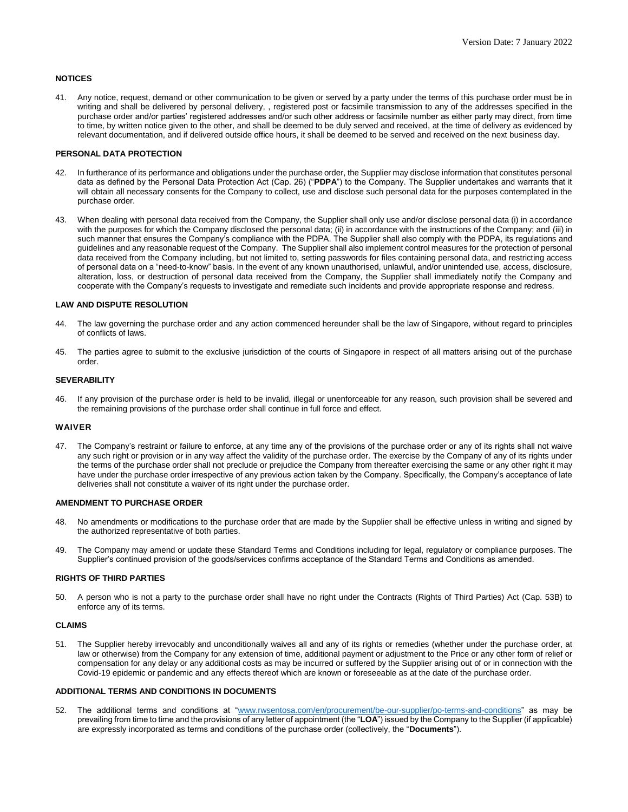## **NOTICES**

41. Any notice, request, demand or other communication to be given or served by a party under the terms of this purchase order must be in writing and shall be delivered by personal delivery, , registered post or facsimile transmission to any of the addresses specified in the purchase order and/or parties' registered addresses and/or such other address or facsimile number as either party may direct, from time to time, by written notice given to the other, and shall be deemed to be duly served and received, at the time of delivery as evidenced by relevant documentation, and if delivered outside office hours, it shall be deemed to be served and received on the next business day.

### **PERSONAL DATA PROTECTION**

- In furtherance of its performance and obligations under the purchase order, the Supplier may disclose information that constitutes personal data as defined by the Personal Data Protection Act (Cap. 26) ("**PDPA**") to the Company. The Supplier undertakes and warrants that it will obtain all necessary consents for the Company to collect, use and disclose such personal data for the purposes contemplated in the purchase order.
- 43. When dealing with personal data received from the Company, the Supplier shall only use and/or disclose personal data (i) in accordance with the purposes for which the Company disclosed the personal data; (ii) in accordance with the instructions of the Company; and (iii) in such manner that ensures the Company's compliance with the PDPA. The Supplier shall also comply with the PDPA, its regulations and guidelines and any reasonable request of the Company. The Supplier shall also implement control measures for the protection of personal data received from the Company including, but not limited to, setting passwords for files containing personal data, and restricting access of personal data on a "need-to-know" basis. In the event of any known unauthorised, unlawful, and/or unintended use, access, disclosure, alteration, loss, or destruction of personal data received from the Company, the Supplier shall immediately notify the Company and cooperate with the Company's requests to investigate and remediate such incidents and provide appropriate response and redress.

### **LAW AND DISPUTE RESOLUTION**

- 44. The law governing the purchase order and any action commenced hereunder shall be the law of Singapore, without regard to principles of conflicts of laws.
- 45. The parties agree to submit to the exclusive jurisdiction of the courts of Singapore in respect of all matters arising out of the purchase order.

### **SEVERABILITY**

46. If any provision of the purchase order is held to be invalid, illegal or unenforceable for any reason, such provision shall be severed and the remaining provisions of the purchase order shall continue in full force and effect.

### **WAIVER**

47. The Company's restraint or failure to enforce, at any time any of the provisions of the purchase order or any of its rights shall not waive any such right or provision or in any way affect the validity of the purchase order. The exercise by the Company of any of its rights under the terms of the purchase order shall not preclude or prejudice the Company from thereafter exercising the same or any other right it may have under the purchase order irrespective of any previous action taken by the Company. Specifically, the Company's acceptance of late deliveries shall not constitute a waiver of its right under the purchase order.

#### **AMENDMENT TO PURCHASE ORDER**

- 48. No amendments or modifications to the purchase order that are made by the Supplier shall be effective unless in writing and signed by the authorized representative of both parties.
- 49. The Company may amend or update these Standard Terms and Conditions including for legal, regulatory or compliance purposes. The Supplier's continued provision of the goods/services confirms acceptance of the Standard Terms and Conditions as amended.

#### **RIGHTS OF THIRD PARTIES**

50. A person who is not a party to the purchase order shall have no right under the Contracts (Rights of Third Parties) Act (Cap. 53B) to enforce any of its terms.

#### **CLAIMS**

51. The Supplier hereby irrevocably and unconditionally waives all and any of its rights or remedies (whether under the purchase order, at law or otherwise) from the Company for any extension of time, additional payment or adjustment to the Price or any other form of relief or compensation for any delay or any additional costs as may be incurred or suffered by the Supplier arising out of or in connection with the Covid-19 epidemic or pandemic and any effects thereof which are known or foreseeable as at the date of the purchase order.

### **ADDITIONAL TERMS AND CONDITIONS IN DOCUMENTS**

52. The additional terms and conditions at ["www.rwsentosa.com/en/procurement/be-our-supplier/](https://www.rwsentosa.com/en/procurement/be-our-supplier/po-terms-and-conditions)po-terms-and-conditions" as may be prevailing from time to time and the provisions of any letter of appointment (the "**LOA**") issued by the Company to the Supplier (if applicable) are expressly incorporated as terms and conditions of the purchase order (collectively, the "**Documents**").